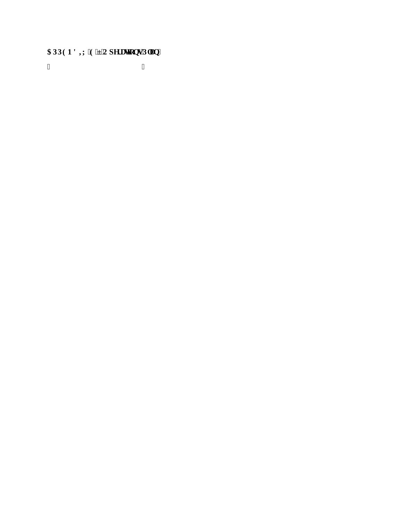## CRRGP F KZ'G'ő'Qr gt c vkqpu'Rncp"

 $\ddot{ }$  $\bar{\mathbf{u}}$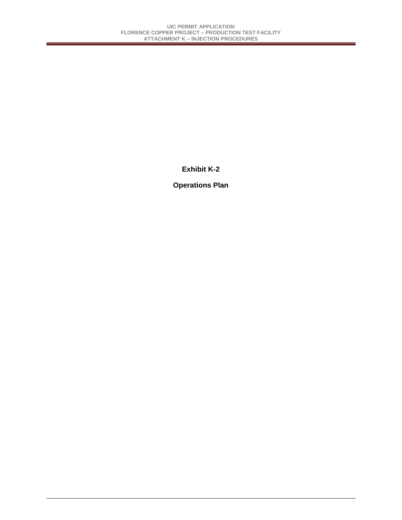## **Exhibit K-2**

## **Operations Plan**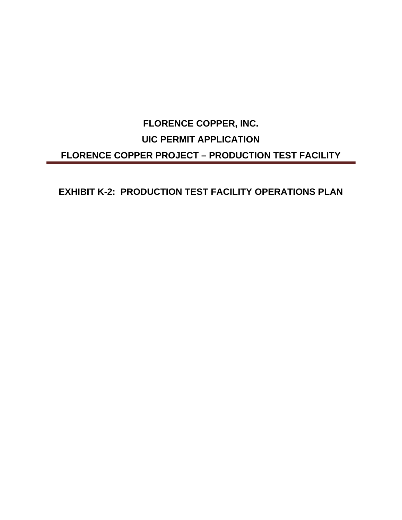# **FLORENCE COPPER, INC. UIC PERMIT APPLICATION FLORENCE COPPER PROJECT – PRODUCTION TEST FACILITY**

## **EXHIBIT K-2: PRODUCTION TEST FACILITY OPERATIONS PLAN**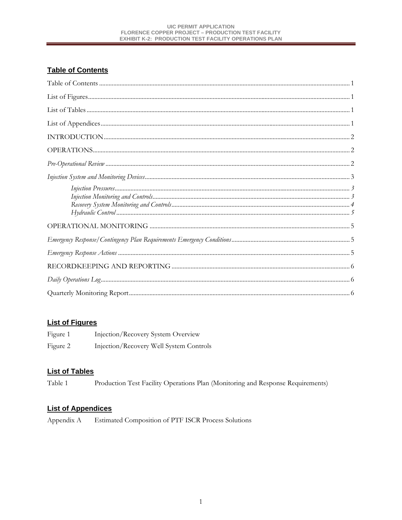#### UIC PERMIT APPLICATION **FLORENCE COPPER PROJECT - PRODUCTION TEST FACILITY EXHIBIT K-2: PRODUCTION TEST FACILITY OPERATIONS PLAN**

## **Table of Contents**

## **List of Figures**

| Figure 1 | Injection/Recovery System Overview      |
|----------|-----------------------------------------|
| Figure 2 | Injection/Recovery Well System Controls |

## **List of Tables**

Table 1 Production Test Facility Operations Plan (Monitoring and Response Requirements)

## **List of Appendices**

Estimated Composition of PTF ISCR Process Solutions Appendix A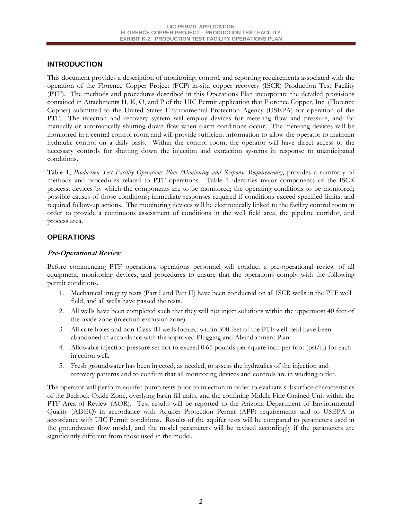## **INTRODUCTION**

This document provides a description of monitoring, control, and reporting requirements associated with the operation of the Florence Copper Project (FCP) in-situ copper recovery (ISCR) Production Test Facility (PTF). The methods and procedures described in this Operations Plan incorporate the detailed provisions contained in Attachments H, K, O, and P of the UIC Permit application that Florence Copper, Inc. (Florence Copper) submitted to the United States Environmental Protection Agency (USEPA) for operation of the PTF. The injection and recovery system will employ devices for metering flow and pressure, and for manually or automatically shutting down flow when alarm conditions occur. The metering devices will be monitored in a central control room and will provide sufficient information to allow the operator to maintain hydraulic control on a daily basis. Within the control room, the operator will have direct access to the necessary controls for shutting down the injection and extraction systems in response to unanticipated conditions.

Table 1, *Production Test Facility Operations Plan (Monitoring and Response Requirements)*, provides a summary of methods and procedures related to PTF operations. Table 1 identifies major components of the ISCR process; devices by which the components are to be monitored; the operating conditions to be monitored; possible causes of those conditions; immediate responses required if conditions exceed specified limits; and required follow-up actions. The monitoring devices will be electronically linked to the facility control room in order to provide a continuous assessment of conditions in the well field area, the pipeline corridor, and process area.

#### **OPERATIONS**

#### **Pre-Operational Review**

Before commencing PTF operations, operations personnel will conduct a pre-operational review of all equipment, monitoring devices, and procedures to ensure that the operations comply with the following permit conditions.

- 1. Mechanical integrity tests (Part I and Part II) have been conducted on all ISCR wells in the PTF well field, and all wells have passed the tests.
- 2. All wells have been completed such that they will not inject solutions within the uppermost 40 feet of the oxide zone (injection exclusion zone).
- 3. All core holes and non-Class III wells located within 500 feet of the PTF well field have been abandoned in accordance with the approved Plugging and Abandonment Plan.
- 4. Allowable injection pressure set not to exceed 0.65 pounds per square inch per foot (psi/ft) for each injection well.
- 5. Fresh groundwater has been injected, as needed, to assess the hydraulics of the injection and recovery patterns and to confirm that all monitoring devices and controls are in working order.

The operator will perform aquifer pump tests prior to injection in order to evaluate subsurface characteristics of the Bedrock Oxide Zone, overlying basin fill units, and the confining Middle Fine Grained Unit within the PTF Area of Review (AOR). Test results will be reported to the Arizona Department of Environmental Quality (ADEQ) in accordance with Aquifer Protection Permit (APP) requirements and to USEPA in accordance with UIC Permit conditions. Results of the aquifer tests will be compared to parameters used in the groundwater flow model, and the model parameters will be revised accordingly if the parameters are significantly different from those used in the model.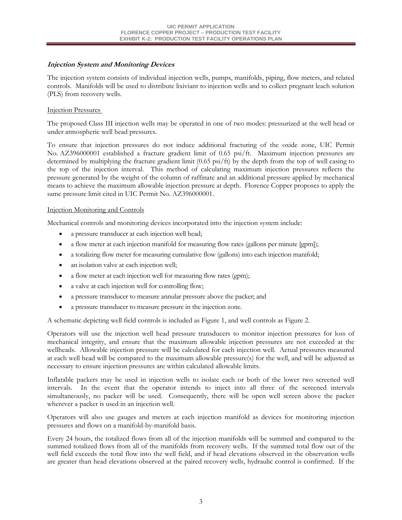#### **Injection System and Monitoring Devices**

The injection system consists of individual injection wells, pumps, manifolds, piping, flow meters, and related controls. Manifolds will be used to distribute lixiviant to injection wells and to collect pregnant leach solution (PLS) from recovery wells.

#### Injection Pressures

The proposed Class III injection wells may be operated in one of two modes: pressurized at the well head or under atmospheric well head pressures.

To ensure that injection pressures do not induce additional fracturing of the oxide zone, UIC Permit No. AZ396000001 established a fracture gradient limit of 0.65 psi/ft. Maximum injection pressures are determined by multiplying the fracture gradient limit (0.65 psi/ft) by the depth from the top of well casing to the top of the injection interval. This method of calculating maximum injection pressures reflects the pressure generated by the weight of the column of raffinate and an additional pressure applied by mechanical means to achieve the maximum allowable injection pressure at depth. Florence Copper proposes to apply the same pressure limit cited in UIC Permit No. AZ396000001.

#### Injection Monitoring and Controls

Mechanical controls and monitoring devices incorporated into the injection system include:

- a pressure transducer at each injection well head;
- a flow meter at each injection manifold for measuring flow rates (gallons per minute [gpm]);
- a totalizing flow meter for measuring cumulative flow (gallons) into each injection manifold;
- an isolation valve at each injection well;
- a flow meter at each injection well for measuring flow rates (gpm);
- a valve at each injection well for controlling flow;
- a pressure transducer to measure annular pressure above the packer; and
- a pressure transducer to measure pressure in the injection zone.

A schematic depicting well field controls is included as Figure 1, and well controls as Figure 2.

Operators will use the injection well head pressure transducers to monitor injection pressures for loss of mechanical integrity, and ensure that the maximum allowable injection pressures are not exceeded at the wellheads. Allowable injection pressure will be calculated for each injection well. Actual pressures measured at each well head will be compared to the maximum allowable pressure(s) for the well, and will be adjusted as necessary to ensure injection pressures are within calculated allowable limits.

Inflatable packers may be used in injection wells to isolate each or both of the lower two screened well intervals. In the event that the operator intends to inject into all three of the screened intervals simultaneously, no packer will be used. Consequently, there will be open well screen above the packer wherever a packer is used in an injection well.

Operators will also use gauges and meters at each injection manifold as devices for monitoring injection pressures and flows on a manifold-by-manifold basis.

Every 24 hours, the totalized flows from all of the injection manifolds will be summed and compared to the summed totalized flows from all of the manifolds from recovery wells. If the summed total flow out of the well field exceeds the total flow into the well field, and if head elevations observed in the observation wells are greater than head elevations observed at the paired recovery wells, hydraulic control is confirmed. If the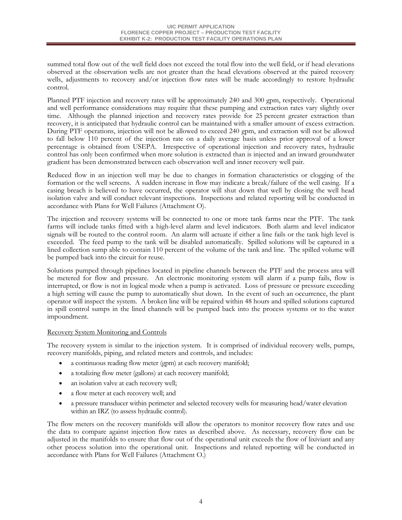summed total flow out of the well field does not exceed the total flow into the well field, or if head elevations observed at the observation wells are not greater than the head elevations observed at the paired recovery wells, adjustments to recovery and/or injection flow rates will be made accordingly to restore hydraulic control.

Planned PTF injection and recovery rates will be approximately 240 and 300 gpm, respectively. Operational and well performance considerations may require that these pumping and extraction rates vary slightly over time. Although the planned injection and recovery rates provide for 25 percent greater extraction than recovery, it is anticipated that hydraulic control can be maintained with a smaller amount of excess extraction. During PTF operations, injection will not be allowed to exceed 240 gpm, and extraction will not be allowed to fall below 110 percent of the injection rate on a daily average basis unless prior approval of a lower percentage is obtained from USEPA. Irrespective of operational injection and recovery rates, hydraulic control has only been confirmed when more solution is extracted than is injected and an inward groundwater gradient has been demonstrated between each observation well and inner recovery well pair.

Reduced flow in an injection well may be due to changes in formation characteristics or clogging of the formation or the well screens. A sudden increase in flow may indicate a break/failure of the well casing. If a casing breach is believed to have occurred, the operator will shut down that well by closing the well head isolation valve and will conduct relevant inspections. Inspections and related reporting will be conducted in accordance with Plans for Well Failures (Attachment O).

The injection and recovery systems will be connected to one or more tank farms near the PTF. The tank farms will include tanks fitted with a high-level alarm and level indicators. Both alarm and level indicator signals will be routed to the control room. An alarm will actuate if either a line fails or the tank high level is exceeded. The feed pump to the tank will be disabled automatically. Spilled solutions will be captured in a lined collection sump able to contain 110 percent of the volume of the tank and line. The spilled volume will be pumped back into the circuit for reuse.

Solutions pumped through pipelines located in pipeline channels between the PTF and the process area will be metered for flow and pressure. An electronic monitoring system will alarm if a pump fails, flow is interrupted, or flow is not in logical mode when a pump is activated. Loss of pressure or pressure exceeding a high setting will cause the pump to automatically shut down. In the event of such an occurrence, the plant operator will inspect the system. A broken line will be repaired within 48 hours and spilled solutions captured in spill control sumps in the lined channels will be pumped back into the process systems or to the water impoundment.

#### Recovery System Monitoring and Controls

The recovery system is similar to the injection system. It is comprised of individual recovery wells, pumps, recovery manifolds, piping, and related meters and controls, and includes:

- a continuous reading flow meter (gpm) at each recovery manifold;
- a totalizing flow meter (gallons) at each recovery manifold;
- an isolation valve at each recovery well;
- a flow meter at each recovery well; and
- a pressure transducer within perimeter and selected recovery wells for measuring head/water elevation within an IRZ (to assess hydraulic control).

The flow meters on the recovery manifolds will allow the operators to monitor recovery flow rates and use the data to compare against injection flow rates as described above. As necessary, recovery flow can be adjusted in the manifolds to ensure that flow out of the operational unit exceeds the flow of lixiviant and any other process solution into the operational unit. Inspections and related reporting will be conducted in accordance with Plans for Well Failures (Attachment O.)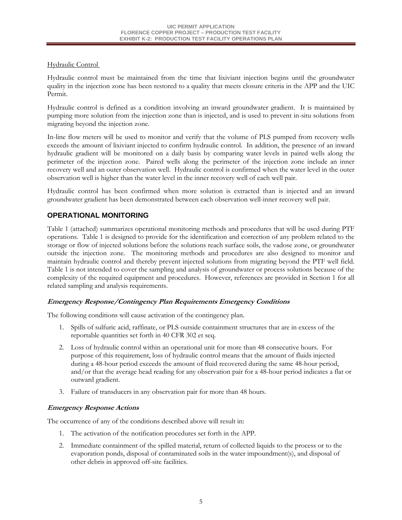#### Hydraulic Control

Hydraulic control must be maintained from the time that lixiviant injection begins until the groundwater quality in the injection zone has been restored to a quality that meets closure criteria in the APP and the UIC Permit.

Hydraulic control is defined as a condition involving an inward groundwater gradient. It is maintained by pumping more solution from the injection zone than is injected, and is used to prevent in-situ solutions from migrating beyond the injection zone.

In-line flow meters will be used to monitor and verify that the volume of PLS pumped from recovery wells exceeds the amount of lixiviant injected to confirm hydraulic control. In addition, the presence of an inward hydraulic gradient will be monitored on a daily basis by comparing water levels in paired wells along the perimeter of the injection zone. Paired wells along the perimeter of the injection zone include an inner recovery well and an outer observation well. Hydraulic control is confirmed when the water level in the outer observation well is higher than the water level in the inner recovery well of each well pair.

Hydraulic control has been confirmed when more solution is extracted than is injected and an inward groundwater gradient has been demonstrated between each observation well-inner recovery well pair.

## **OPERATIONAL MONITORING**

Table 1 (attached) summarizes operational monitoring methods and procedures that will be used during PTF operations. Table 1 is designed to provide for the identification and correction of any problem related to the storage or flow of injected solutions before the solutions reach surface soils, the vadose zone, or groundwater outside the injection zone. The monitoring methods and procedures are also designed to monitor and maintain hydraulic control and thereby prevent injected solutions from migrating beyond the PTF well field. Table 1 is not intended to cover the sampling and analysis of groundwater or process solutions because of the complexity of the required equipment and procedures. However, references are provided in Section 1 for all related sampling and analysis requirements.

#### **Emergency Response/Contingency Plan Requirements Emergency Conditions**

The following conditions will cause activation of the contingency plan.

- 1. Spills of sulfuric acid, raffinate, or PLS outside containment structures that are in excess of the reportable quantities set forth in 40 CFR 302 et seq.
- 2. Loss of hydraulic control within an operational unit for more than 48 consecutive hours. For purpose of this requirement, loss of hydraulic control means that the amount of fluids injected during a 48-hour period exceeds the amount of fluid recovered during the same 48-hour period, and/or that the average head reading for any observation pair for a 48-hour period indicates a flat or outward gradient.
- 3. Failure of transducers in any observation pair for more than 48 hours.

#### **Emergency Response Actions**

The occurrence of any of the conditions described above will result in:

- 1. The activation of the notification procedures set forth in the APP.
- 2. Immediate containment of the spilled material, return of collected liquids to the process or to the evaporation ponds, disposal of contaminated soils in the water impoundment(s), and disposal of other debris in approved off-site facilities.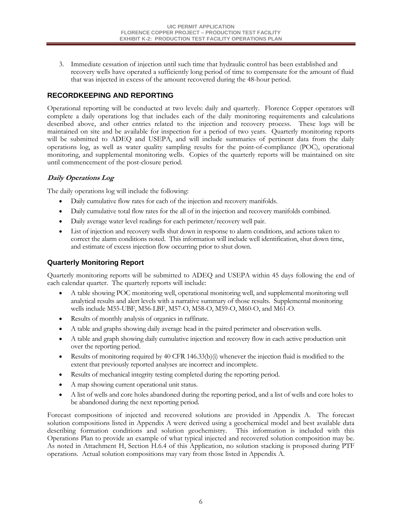3. Immediate cessation of injection until such time that hydraulic control has been established and recovery wells have operated a sufficiently long period of time to compensate for the amount of fluid that was injected in excess of the amount recovered during the 48-hour period.

### **RECORDKEEPING AND REPORTING**

Operational reporting will be conducted at two levels: daily and quarterly. Florence Copper operators will complete a daily operations log that includes each of the daily monitoring requirements and calculations described above, and other entries related to the injection and recovery process. These logs will be maintained on site and be available for inspection for a period of two years. Quarterly monitoring reports will be submitted to ADEQ and USEPA, and will include summaries of pertinent data from the daily operations log, as well as water quality sampling results for the point-of-compliance (POC), operational monitoring, and supplemental monitoring wells. Copies of the quarterly reports will be maintained on site until commencement of the post-closure period.

#### **Daily Operations Log**

The daily operations log will include the following:

- Daily cumulative flow rates for each of the injection and recovery manifolds.
- Daily cumulative total flow rates for the all of in the injection and recovery manifolds combined.
- Daily average water level readings for each perimeter/recovery well pair.
- List of injection and recovery wells shut down in response to alarm conditions, and actions taken to correct the alarm conditions noted. This information will include well identification, shut down time, and estimate of excess injection flow occurring prior to shut down.

### **Quarterly Monitoring Report**

Quarterly monitoring reports will be submitted to ADEQ and USEPA within 45 days following the end of each calendar quarter. The quarterly reports will include:

- A table showing POC monitoring well, operational monitoring well, and supplemental monitoring well analytical results and alert levels with a narrative summary of those results. Supplemental monitoring wells include M55-UBF, M56-LBF, M57-O, M58-O, M59-O, M60-O, and M61-O.
- Results of monthly analysis of organics in raffinate.
- A table and graphs showing daily average head in the paired perimeter and observation wells.
- A table and graph showing daily cumulative injection and recovery flow in each active production unit over the reporting period.
- Results of monitoring required by 40 CFR 146.33(b)(i) whenever the injection fluid is modified to the extent that previously reported analyses are incorrect and incomplete.
- Results of mechanical integrity testing completed during the reporting period.
- A map showing current operational unit status.
- A list of wells and core holes abandoned during the reporting period, and a list of wells and core holes to be abandoned during the next reporting period.

Forecast compositions of injected and recovered solutions are provided in Appendix A. The forecast solution compositions listed in Appendix A were derived using a geochemical model and best available data describing formation conditions and solution geochemistry. This information is included with this Operations Plan to provide an example of what typical injected and recovered solution composition may be. As noted in Attachment H, Section H.6.4 of this Application, no solution stacking is proposed during PTF operations. Actual solution compositions may vary from those listed in Appendix A.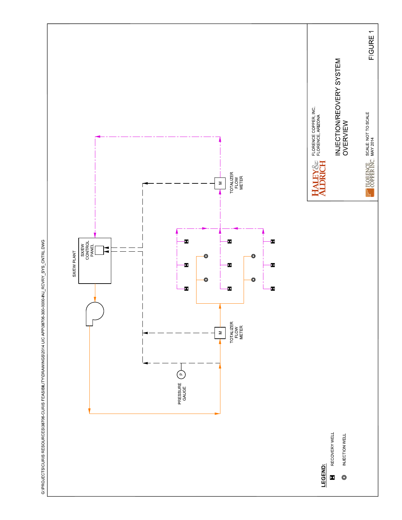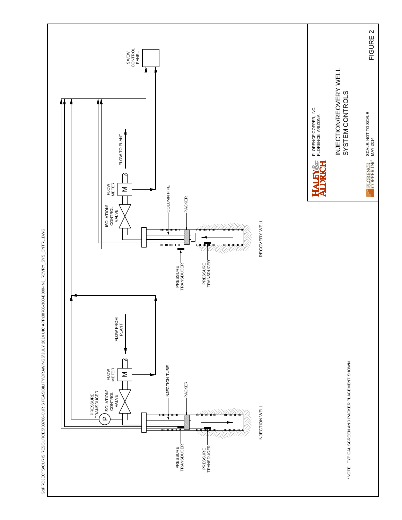

G:\PROJECTS\CURIS RESOURCES\38706-CURIS FEASIBILITY\DRAWINGS\JULY 2014 UIC APP\38706-300-B000-INJ\_RCVRY\_SYS\_CNTRL.DWG G:/PROJECTS/CURIS RESOURCES/38706-CURIS FEASIBILITY/DRAWINGS/JULY 2014 UIC APP/38706-300-B000-INL\_RCVRY\_SYS\_CNTRLDWG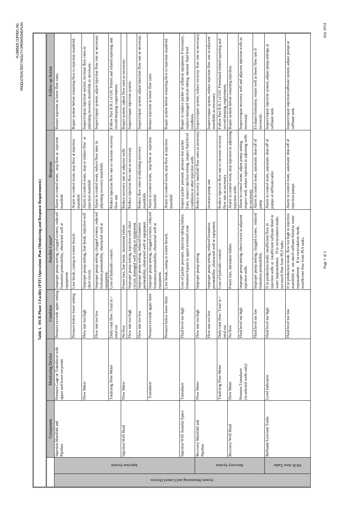| ļ                                                             |
|---------------------------------------------------------------|
| d kespons.<br>I<br>ׇ֚֚֘֡                                      |
| J                                                             |
| l<br>Ì                                                        |
| I<br>$\overline{\phantom{a}}$                                 |
| ĺ<br>֖֖֖֖֖֖֖֖֖֧ׅ֖֧֪֪ׅ֖֧֚֚֚֚֚֚֚֚֚֚֚֚֚֚֚֚֚֚֚֚֚֚֚֚֬֝֝֝֓֞֝<br>ׇ֚֓ |
| $\ddot{ }$                                                    |
| $\overline{a}$<br>ーー してい<br>ı                                 |
| $h \sim 1$                                                    |

|                                       |                  |                                                 |                                                                |                                             | Table 1. ISCR Phase 1 Facility (PTF) Operations Plan (Monitoring and Response Requirements)                                                                                                                     |                                                                                                                                              |                                                                                                                                     |
|---------------------------------------|------------------|-------------------------------------------------|----------------------------------------------------------------|---------------------------------------------|-----------------------------------------------------------------------------------------------------------------------------------------------------------------------------------------------------------------|----------------------------------------------------------------------------------------------------------------------------------------------|-------------------------------------------------------------------------------------------------------------------------------------|
|                                       |                  | Component                                       | Monitoring Device                                              | Condition                                   | Possible Cause*                                                                                                                                                                                                 | Response                                                                                                                                     | Follow-up Action                                                                                                                    |
|                                       |                  | Injection Manifold and<br>Pipeline              | Pressure Gage or Transducer with<br>upper and lower set points | Pressure exceeds upper setting              | Improper pump setting, clogged screens, reduced<br>formation permeability, obstructed well or<br>equipment.                                                                                                     | injection<br>Alarm in control room, stop flow at<br>manifold                                                                                 | Restart injection at lower flow rates.                                                                                              |
|                                       |                  |                                                 |                                                                | Pressure below lower setting                | Line break, casing or screen breach.                                                                                                                                                                            | Alarm in control room, stop flow at injection<br>manifold                                                                                    | Repair system before restarting flow to injection manifold.                                                                         |
|                                       |                  |                                                 | Flow Meter                                                     | Flow rate too high                          | $\overline{\mathbb{E}}$<br>Improper pump setting, line break, injection w<br>short circuit.                                                                                                                     | $\sharp$<br>Alarm in control room, stop or reduce flow<br>injection manifold                                                                 | Inspect/repair injection system, increase flow rates in<br>adjoining recovery monifolds as necessary                                |
|                                       |                  |                                                 |                                                                | Flow rate too low                           | Improper pump setting, clogged screens, reduced<br>formation permeability, obstructed well or<br>equipment                                                                                                      | Alarm in control room, reduce flow rates in<br>adjoining recovery manifolds                                                                  | Inspect/repair system, adjust injection flow rate as necessary.                                                                     |
|                                       | Injection System |                                                 | Totalizing Flow Meter                                          | Daily total flow: Total in $>$<br>total out | Loss of hydraulic control.                                                                                                                                                                                      | Reduce injection flow rate or increase recovery<br>flow rate                                                                                 | Follow Part II.H.1 of UIC Permit and related reporting and<br>record-keeping requirements.                                          |
|                                       |                  | Injection Well Head                             | Flow Meter                                                     | No flow                                     | Power loss, line break, instrument failure.                                                                                                                                                                     | Reduce recovery rate in adjacent wells                                                                                                       | Repair system, adjust flow rates as necessary                                                                                       |
|                                       |                  |                                                 |                                                                | Flow rate too high                          | Improper pump setting, injection well short<br>circuit, damaged well casing or equipment.                                                                                                                       | Reduce injection flow rate as necessary                                                                                                      | Inspect/repair injection system.                                                                                                    |
|                                       |                  |                                                 |                                                                | Flow rate too low                           | permeability, obstructed well or equipment.<br>Improper pump setting, reduced formation                                                                                                                         | Reduce flow rates in adjoining recovery<br>manifolds                                                                                         | Inspect/repair system, adjust injection flow rate as necessary.                                                                     |
|                                       |                  |                                                 | Transducer                                                     | Pressure exceeds upper limit                | Improper pump setting, clogged screens, reduced<br>formation permeability, obstructed well or<br>equipment.                                                                                                     | stop flow at injection<br>Alarm in control room,<br>manifold                                                                                 | Restart injection at lower flow rates.                                                                                              |
| System Monitoring and Control Devices |                  |                                                 |                                                                | Pressure below lower limit                  | Line break, casing or screen breach.                                                                                                                                                                            | Alarm in control room, stop flow at injection<br>manifold                                                                                    | Repair system before restarting flow to injection manifold.                                                                         |
|                                       |                  | Injection Well Annular Space                    | Transducer                                                     | Fluid level too high                        | Loss of packer pressure, injection tubing failure,<br>formation bypass to upper screened zone                                                                                                                   | lines, inspect injection tubing, inspect fluid level<br>Inspect packer pressure, pressure test packer<br>conditions at other injection wells | Repair or replace packer or inflation equipment if necessary,<br>replace damaged injection tubing, monitor fluid level<br>conditons |
|                                       |                  | $\overline{a}$<br>Recovery Manifold<br>Pipeline | Flow Meter                                                     | Flow rate too high                          | Improper pump setting.                                                                                                                                                                                          | Reduce recovery manifold flow rates as necessary                                                                                             | Inspect/repair system, reduce recovery flow rate as necessary                                                                       |
|                                       |                  |                                                 |                                                                | Flow rate too low                           | permeability, obstructed well or equipment.<br>Improper pump setting, reduced formation                                                                                                                         | Increase pump rate                                                                                                                           | Inspect/repair system, reduce injection flow rate in adjacent<br>manifolds as necessary                                             |
|                                       |                  |                                                 | Totalizing Flow Meter                                          | Daily total flow: Total in ><br>total out   | Loss of hydraulic control.                                                                                                                                                                                      | Reduce injection flow rate or increase recovery<br>flow rate as necessary                                                                    | Follow Part II.H.1 of UIC Permitand related reporting and<br>record-keeping requirements.                                           |
|                                       | Recovery System  | Recovery Well Head                              | Flow Meter                                                     | No flow                                     | Power loss, intrument failure.                                                                                                                                                                                  | Alarm in control room, stop injection in adjoining<br>injection wells                                                                        | Repair system before restarting injection                                                                                           |
|                                       |                  |                                                 | (in selected wells only)<br>Pressure Transducer                | Fluid level too high                        | Improper pump setting, short circuit in adjacent<br>injection wells.                                                                                                                                            | inspect well, reduce injection in adjoining wells<br>Alarm in control room, adjust pump setting,<br>as necessary                             | Inspect/repair recovery well and adjacent injection wells as<br>necessary.                                                          |
|                                       |                  |                                                 |                                                                | Fluid level too low                         | Improper pump setting, clogged screen, reduced<br>formation permeability.                                                                                                                                       | Alarm in control room, automatic shut-off of<br>dumd                                                                                         | Evaluate formation, restart well at lower flow rate if<br>necessary                                                                 |
|                                       |                  | Raffinate/Lixiviant Tanks                       | Level Indicators                                               | Fluid level too high                        | $\overline{S}$<br>$\bullet$<br>injection wells or insufficient raffinate bleed t<br>water impoundment. If in recirculation mode<br>If in production mode, insufficient flow to<br>too much flow from PLS tanks. | Alarm in control room, automatic shut-off of<br>pumps at raffinate tanks                                                                     | Inspect/repair injection system, adjust pump settings at<br>raffinate tank.                                                         |
|                                       | ISCR Area Tanks  |                                                 |                                                                | Fluid level too low                         | If in production mode, flow too high to injection<br>manifolds or too much raffinate bleed to water<br>impoundment. If in recirculation mode,<br>insufficient flow from PLS tanks.                              | Alarm in control room, automatic shut-off of<br>injection pumps                                                                              | Inspect/repair injection/raffinate system, adjust pumps at<br>raffinate tank.                                                       |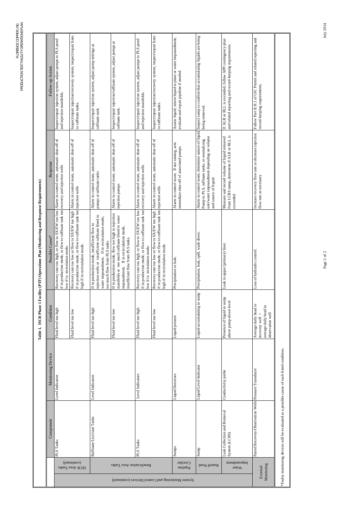| ׇ֚֓֡<br>I                                                            |
|----------------------------------------------------------------------|
| ו<br>ו                                                               |
| ١<br>I                                                               |
| l<br>i                                                               |
| ׇ֚֓֡                                                                 |
| l<br>֖֖֖֖֖֖֖֧֖ׅ֪֪ׅ֖֧֧֪ׅ֪֪֪֧֚֚֚֚֚֚֚֚֚֚֚֚֚֚֚֚֚֚֚֚֚֚֚֚֬֝֝֓֞֝֓֞֝֬֓֝<br>l |
| i<br>ļ<br>֠<br>֠                                                     |
| i<br>I<br>I<br>I                                                     |
| I<br>$\frac{1}{1}$<br>ć<br>¢<br>I                                    |

|                                                   |                                   | Component                                             | Monitoring Device                        | Condition                                                                               | Table 1. ISCR Phase 1 Facility (PTF) Operations Plan (Monitoring and Re<br>Possible Cause*                                                                                                 | Response<br>esponse Requirements)                                                                                    | Follow-up Action                                                                                                                 |
|---------------------------------------------------|-----------------------------------|-------------------------------------------------------|------------------------------------------|-----------------------------------------------------------------------------------------|--------------------------------------------------------------------------------------------------------------------------------------------------------------------------------------------|----------------------------------------------------------------------------------------------------------------------|----------------------------------------------------------------------------------------------------------------------------------|
|                                                   |                                   | PLS Tanks                                             | Level Indicators                         | Fluid level too high                                                                    | if in production mode, or flow to raffinate tank too<br>$\log$<br>Recovery rate too high, or flow to SX/EW too<br>low if in recirulation mode.                                             | Alarm in control room, automatic shut-off of<br>recovery and injection wells                                         | Inspect/repair injection system, adjust pumps to PLS pond<br>and injection manifolds.                                            |
|                                                   | (panuitnos)<br>ISCR Area Tanks    |                                                       |                                          | Fluid level too low                                                                     | if in production mode, or flow to raffinate tank too<br>Recovery rate too low or flow to SX/EW too high<br>high if in recirculation mode.                                                  | Alarm in control room, automatic shut-off of<br>injection wells                                                      | Inspect/repair injection/recovery system; inspect/repair lines<br>to raffinate tanks                                             |
|                                                   |                                   | Raffinate/Lixiviant Tanks                             | Level Indicators                         | Fluid level too high                                                                    | $\circ$<br>injection wells or insufficient raffinate bleed t<br>water impoundment. If in recirculation mode<br>If in production mode, insufficient flow to<br>too much flow from PLS tanks | Alarm in control room, automatic shut-off of<br>pumps at raffinate tanks                                             | Inspect/repair injection system, adjust pump settings at<br>raffinate tank.                                                      |
|                                                   | Beneficiation Area Tanks          |                                                       |                                          | Fluid level too low                                                                     | If in production mode, flow too high to injection<br>manifolds or too much raffinate bleed to water<br>impoundment. If in recirculation mode,<br>insufficient flow from PLS tanks.         | Alarm in control room, automatic shut-off of<br>injection pumps                                                      | Inspect/repair injection/raffinate system, adjust pumps at<br>raffinate tank.                                                    |
|                                                   |                                   | PLS Tanks                                             | Level Indicators                         | Fluid level too high                                                                    | if in production mode, or flow to raffinate tank too<br>10W<br>Recovery rate too high, or flow to SX/EW too<br>low if in recirulation mode.                                                | Alarm in control room, automatic shut-off of<br>recovery and injection wells                                         | Inspect/repair injection system, adjust pumps to PLS pond<br>and injection manifolds.                                            |
|                                                   |                                   |                                                       |                                          | Fluid level too low                                                                     | if in production mode, or flow to raffinate tank too<br>Recovery rate too low or flow to SX/EW too high<br>high if in recirculation mode.                                                  | Alarm in control room, automatic shut-off of<br>injection wells                                                      | Inspect/repair injection/recovery system; inspect/repair lines<br>to raffinate tanks                                             |
| System Monitoring and Control Devices (continued) | <b>Conridor</b><br>Pipeline       | Sumps                                                 | <b>Liquid Detectors</b>                  | Liquid present                                                                          | Precipitation or leak.                                                                                                                                                                     | Alarm in control room. If not raining, arm<br>immediate shut-off of associated pumps.                                | Assess liquid; return liquid to plant or water impoundment;<br>evaluate and repair pipeline if needed.                           |
|                                                   | Runoff Pond                       | Sunp                                                  | Liquid Level Indicator                   | Liquid accumulating in sump                                                             | Precipitation, leak, spill, wash down.                                                                                                                                                     | unit/water impoundment depending on volume<br>Pump to PLS, raffinate tanks, or neutralizing<br>and source of liquid. | Alarm in control room; determine nature of liquid. Inspect sump to confirm that accumulating liquids are being<br>being removed. |
|                                                   | <i>u</i> Juodulla<br><b>Water</b> | Leak Collection and Removal<br>System (LCRS)          | Conductivity probe                       | Presence of liquid in sump<br>above pump-down level                                     | Leak in upper (primary) liner.                                                                                                                                                             | from LCRS sump, determine if ALR or RLL is<br>Measure and record volume of liquid removed<br>exceeded.               | If ALR or RLL is exceeded, follow APP contingency plan<br>and related reporting and record-keeping requirements.                 |
| Monitoring<br>External                            |                                   | Paired Recovery/Observation Wells Pressure Transducer |                                          | Average daily head in<br>average daily head in<br>observation well<br>recovery well $>$ | Loss of hydraulic control.                                                                                                                                                                 | Increase recovery flow rate or decrease injection<br>flow rate as necessary                                          | Follow Part II.H.1 of UIC Permit and related reporting and<br>record-keeping requirements.                                       |
|                                                   |                                   | *Faulty monitoring devices will be evaluated as a     | possible cause of each listed condition. |                                                                                         |                                                                                                                                                                                            |                                                                                                                      |                                                                                                                                  |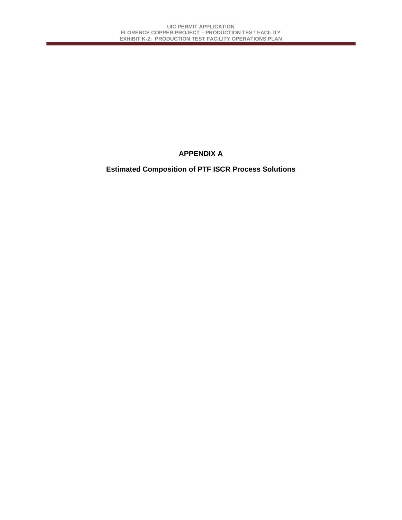## **APPENDIX A**

## **Estimated Composition of PTF ISCR Process Solutions**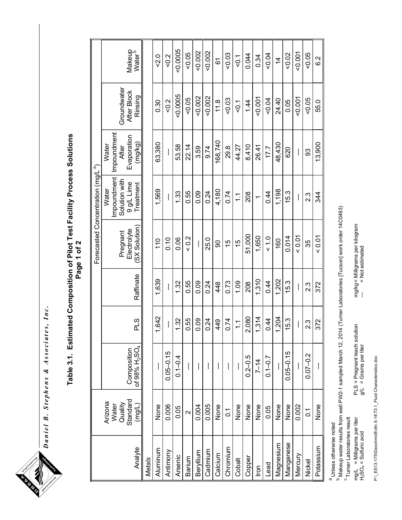Daniel B. Stephens & Associates, Inc. Daniel B. Stephens & Associates, Inc.<br> Table 3.1. Estimated Composition of Pilot Test Facility Process Solutions Table 3.1. Estimated Composition of Pilot Test Facility Process Solutions Page 1 of 2

|               |                                         |                                                      |                       |           |                         | Forecasted Concentration (mg/L <sup>a</sup> )       |                                                    |                            |                              |
|---------------|-----------------------------------------|------------------------------------------------------|-----------------------|-----------|-------------------------|-----------------------------------------------------|----------------------------------------------------|----------------------------|------------------------------|
|               | Quality<br>Standard<br>Arizona<br>Water | Composition<br>of 98% H <sub>2</sub> SO <sub>4</sub> |                       |           | Electrolyte<br>Pregnant | Impoundment<br>Solution with<br>9 g/L Lime<br>Water | mpoundment<br>Evaporation<br>Water<br><b>After</b> | Groundwater<br>After Block | Makeup<br>Water <sup>b</sup> |
| Analyte       | $($ mg/L)                               |                                                      | PLS                   | Raffinate | SX Solution             | <b>Treatment</b>                                    | (mg/kg)                                            | Rinsing                    |                              |
| <b>Metals</b> |                                         |                                                      |                       |           |                         |                                                     |                                                    |                            |                              |
| Aluminum      | None                                    |                                                      | 642                   | 1,639     | 110                     | 1,569                                               | 63,380                                             | 0.30                       | $-2.0$                       |
| Antimony      | 0.006                                   | $0.05 - 0.15$                                        |                       | $\bigg $  | 0.10                    | $\overline{\phantom{a}}$                            | I                                                  | 0.2                        | 0.2                          |
| Arsenic       | 0.05                                    | $0.1 - 0.4$                                          | 1.32                  | 1.32      | 0.06                    | 1.33                                                | 53.58                                              | 0.0005                     | 0.0005                       |
| Barium        | $\sim$                                  |                                                      | 0.55                  | 0.55      | 0.2                     | 0.55                                                | 22.14                                              | 0.05                       | 0.05                         |
| Beryllium     | 0.004                                   |                                                      | 0.09                  | 0.09      |                         | 0.09                                                | 3.59                                               | 0.002                      | 0.002                        |
| Cadmium       | 0.005                                   |                                                      | 0.24                  | 0.24      | 25.0                    | 0.24                                                | 9.74                                               | 0.002                      | 0.002                        |
| Calcium       | None                                    |                                                      | 449                   | 448       | 8                       | 4,180                                               | 168,740                                            | 11.8                       | 61                           |
| Chromium      | $\overline{0}$                          |                                                      | 0.74                  | 0.73      | 15                      | 0.74                                                | 29.8                                               | 0.03                       | 0.03                         |
| Cobalt        | None                                    | $\overline{\phantom{a}}$                             | $\tilde{\mathcal{L}}$ | 1.09      | 15                      | $\frac{1}{1}$                                       | 44.27                                              | 50.1                       | $rac{1}{8}$                  |
| Copper        | None                                    | $0.2 - 0.5$                                          | 2,080                 | 208       | 51,000                  | 208                                                 | 8,410                                              | 14                         | 0.044                        |
| <u>Iron</u>   | None                                    | $7 - 14$                                             | , 314                 | 1,310     | 1,650                   | $\overline{ }$                                      | 26.41                                              | $-0.001$                   | 0.34                         |
| Lead          | 0.05                                    | $0.1 - 0.7$                                          | 0.44                  | 0.44      | $\frac{0}{10}$          | 0.44                                                | 17.7                                               | $-0.04$                    | 50.04                        |
| Magnesium     | None                                    |                                                      | .204                  | 1,202     | 160                     | 1,198                                               | 48,430                                             | 24.40                      | $\frac{4}{4}$                |
| Manganese     | None                                    | $0.05 - 0.15$                                        | 15.3                  | 15.3      | 0.014                   | 15.3                                                | 620                                                | 0.05                       | 0.02                         |
| Mercury       | 0.002                                   |                                                      |                       | I         | 0.01                    |                                                     |                                                    | $-0.001$                   | $-0.001$                     |
| Nickel        | $\overline{0}$                          | $0.07 - 0.2$                                         | 2.3                   | 23        | 35                      | 23                                                  | 93                                                 | 50.05                      | 0.05                         |
| Potassium     | None                                    |                                                      | 372                   | 372       | 0.01                    | 34                                                  | 13,900                                             | 55.0                       | $\frac{2}{6}$                |
|               |                                         |                                                      |                       |           |                         |                                                     |                                                    |                            |                              |

Makeup water results from well PW2-1 sampled March 12, 2014 (Turner Laboratories [Tucson] work order 14C0493)

<sup>a</sup> Unless otherwise noted<br><sup>b</sup> Makeup water results from<br><sup>C</sup> Turner Laboratories result<br>mg/L = Milligrams per liter<br>H<sub>>SO4</sub> = Sulfuricadd mg/L = Milligrams per liter PLS = Pregnant leach solution mg/kg= Milligrams per kilogram H2SO4 = Sulfuric acid g/L = Grams per liter = Not estimated

mg/kg= Milligrams per kilogram<br>- = Not estimated PLS = Pregnant leach solution<br>g/L = Grams per liter

P:\\_ES13-175\GeochmclEvltn.5-14\T3.1\_Fluid Characteristics.doc P:\\_ES13-175\GeochmclEvltn.5-14\T3.1\_Fluid Characteristics.doc